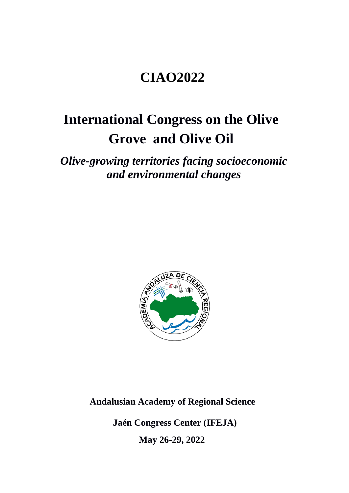## **CIAO2022**

# **International Congress on the Olive Grove and Olive Oil**

*Olive-growing territories facing socioeconomic and environmental changes*



 **Andalusian Academy of Regional Science** 

 **Jaén Congress Center (IFEJA)**

 **May 26-29, 2022**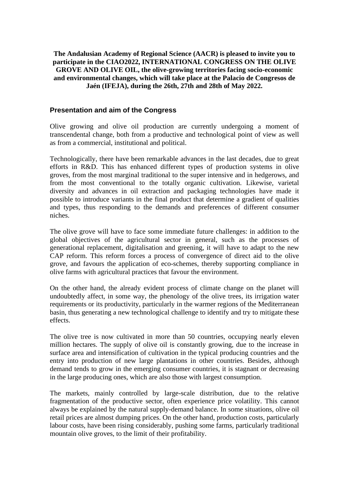## **The Andalusian Academy of Regional Science (AACR) is pleased to invite you to participate in the CIAO2022, INTERNATIONAL CONGRESS ON THE OLIVE GROVE AND OLIVE OIL, the olive-growing territories facing socio-economic and environmental changes, which will take place at the Palacio de Congresos de Jaén (IFEJA), during the 26th, 27th and 28th of May 2022.**

## **Presentation and aim of the Congress**

Olive growing and olive oil production are currently undergoing a moment of transcendental change, both from a productive and technological point of view as well as from a commercial, institutional and political.

Technologically, there have been remarkable advances in the last decades, due to great efforts in R&D. This has enhanced different types of production systems in olive groves, from the most marginal traditional to the super intensive and in hedgerows, and from the most conventional to the totally organic cultivation. Likewise, varietal diversity and advances in oil extraction and packaging technologies have made it possible to introduce variants in the final product that determine a gradient of qualities and types, thus responding to the demands and preferences of different consumer niches.

The olive grove will have to face some immediate future challenges: in addition to the global objectives of the agricultural sector in general, such as the processes of generational replacement, digitalisation and greening, it will have to adapt to the new CAP reform. This reform forces a process of convergence of direct aid to the olive grove, and favours the application of eco-schemes, thereby supporting compliance in olive farms with agricultural practices that favour the environment.

On the other hand, the already evident process of climate change on the planet will undoubtedly affect, in some way, the phenology of the olive trees, its irrigation water requirements or its productivity, particularly in the warmer regions of the Mediterranean basin, thus generating a new technological challenge to identify and try to mitigate these effects.

The olive tree is now cultivated in more than 50 countries, occupying nearly eleven million hectares. The supply of olive oil is constantly growing, due to the increase in surface area and intensification of cultivation in the typical producing countries and the entry into production of new large plantations in other countries. Besides, although demand tends to grow in the emerging consumer countries, it is stagnant or decreasing in the large producing ones, which are also those with largest consumption.

The markets, mainly controlled by large-scale distribution, due to the relative fragmentation of the productive sector, often experience price volatility. This cannot always be explained by the natural supply-demand balance. In some situations, olive oil retail prices are almost dumping prices. On the other hand, production costs, particularly labour costs, have been rising considerably, pushing some farms, particularly traditional mountain olive groves, to the limit of their profitability.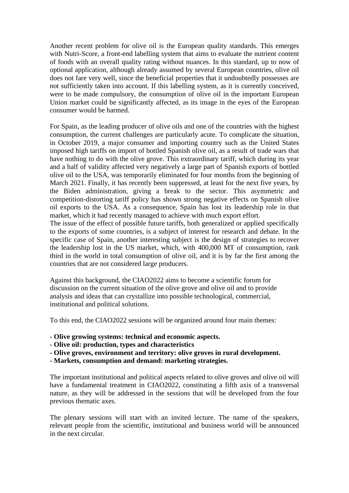Another recent problem for olive oil is the European quality standards. This emerges with Nutri-Score, a front-end labelling system that aims to evaluate the nutrient content of foods with an overall quality rating without nuances. In this standard, up to now of optional application, although already assumed by several European countries, olive oil does not fare very well, since the beneficial properties that it undoubtedly possesses are not sufficiently taken into account. If this labelling system, as it is currently conceived, were to be made compulsory, the consumption of olive oil in the important European Union market could be significantly affected, as its image in the eyes of the European consumer would be harmed.

For Spain, as the leading producer of olive oils and one of the countries with the highest consumption, the current challenges are particularly acute. To complicate the situation, in October 2019, a major consumer and importing country such as the United States imposed high tariffs on import of bottled Spanish olive oil, as a result of trade wars that have nothing to do with the olive grove. This extraordinary tariff, which during its year and a half of validity affected very negatively a large part of Spanish exports of bottled olive oil to the USA, was temporarily eliminated for four months from the beginning of March 2021. Finally, it has recently been suppressed, at least for the next five years, by the Biden administration, giving a break to the sector. This asymmetric and competition-distorting tariff policy has shown strong negative effects on Spanish olive oil exports to the USA. As a consequence, Spain has lost its leadership role in that market, which it had recently managed to achieve with much export effort.

The issue of the effect of possible future tariffs, both generalized or applied specifically to the exports of some countries, is a subject of interest for research and debate. In the specific case of Spain, another interesting subject is the design of strategies to recover the leadership lost in the US market, which, with 400,000 MT of consumption, rank third in the world in total consumption of olive oil, and it is by far the first among the countries that are not considered large producers.

Against this background, the CIAO2022 aims to become a scientific forum for discussion on the current situation of the olive grove and olive oil and to provide analysis and ideas that can crystallize into possible technological, commercial, institutional and political solutions.

To this end, the CIAO2022 sessions will be organized around four main themes:

- **- Olive growing systems: technical and economic aspects.**
- **- Olive oil: production, types and characteristics**
- **- Olive groves, environment and territory: olive groves in rural development.**
- **- Markets, consumption and demand: marketing strategies.**

The important institutional and political aspects related to olive groves and olive oil will have a fundamental treatment in CIAO2022, constituting a fifth axis of a transversal nature, as they will be addressed in the sessions that will be developed from the four previous thematic axes.

The plenary sessions will start with an invited lecture. The name of the speakers, relevant people from the scientific, institutional and business world will be announced in the next circular.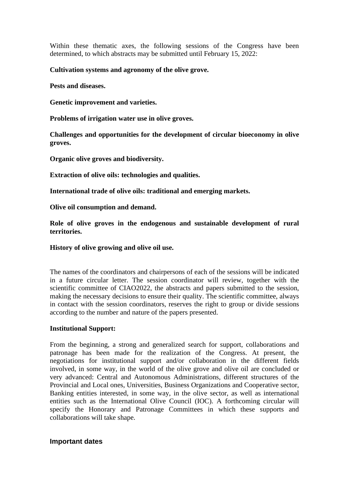Within these thematic axes, the following sessions of the Congress have been determined, to which abstracts may be submitted until February 15, 2022:

## **Cultivation systems and agronomy of the olive grove.**

**Pests and diseases.**

**Genetic improvement and varieties.**

**Problems of irrigation water use in olive groves.**

**Challenges and opportunities for the development of circular bioeconomy in olive groves.**

**Organic olive groves and biodiversity.**

**Extraction of olive oils: technologies and qualities.**

**International trade of olive oils: traditional and emerging markets.**

**Olive oil consumption and demand.**

**Role of olive groves in the endogenous and sustainable development of rural territories.**

#### **History of olive growing and olive oil use.**

The names of the coordinators and chairpersons of each of the sessions will be indicated in a future circular letter. The session coordinator will review, together with the scientific committee of CIAO2022, the abstracts and papers submitted to the session, making the necessary decisions to ensure their quality. The scientific committee, always in contact with the session coordinators, reserves the right to group or divide sessions according to the number and nature of the papers presented.

### **Institutional Support:**

From the beginning, a strong and generalized search for support, collaborations and patronage has been made for the realization of the Congress. At present, the negotiations for institutional support and/or collaboration in the different fields involved, in some way, in the world of the olive grove and olive oil are concluded or very advanced: Central and Autonomous Administrations, different structures of the Provincial and Local ones, Universities, Business Organizations and Cooperative sector, Banking entities interested, in some way, in the olive sector, as well as international entities such as the International Olive Council (IOC). A forthcoming circular will specify the Honorary and Patronage Committees in which these supports and collaborations will take shape.

#### **Important dates**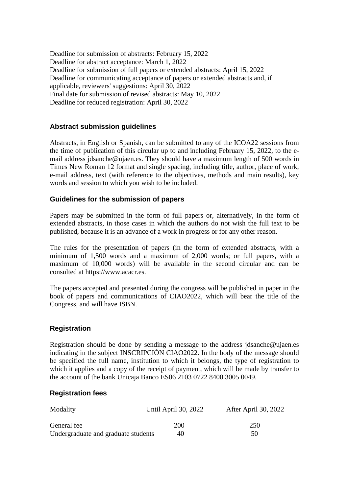Deadline for submission of abstracts: February 15, 2022 Deadline for abstract acceptance: March 1, 2022 Deadline for submission of full papers or extended abstracts: April 15, 2022 Deadline for communicating acceptance of papers or extended abstracts and, if applicable, reviewers' suggestions: April 30, 2022 Final date for submission of revised abstracts: May 10, 2022 Deadline for reduced registration: April 30, 2022

## **Abstract submission guidelines**

Abstracts, in English or Spanish, can be submitted to any of the ICOA22 sessions from the time of publication of this circular up to and including February 15, 2022, to the email address jdsanche@ujaen.es. They should have a maximum length of 500 words in Times New Roman 12 format and single spacing, including title, author, place of work, e-mail address, text (with reference to the objectives, methods and main results), key words and session to which you wish to be included.

## **Guidelines for the submission of papers**

Papers may be submitted in the form of full papers or, alternatively, in the form of extended abstracts, in those cases in which the authors do not wish the full text to be published, because it is an advance of a work in progress or for any other reason.

The rules for the presentation of papers (in the form of extended abstracts, with a minimum of 1,500 words and a maximum of 2,000 words; or full papers, with a maximum of 10,000 words) will be available in the second circular and can be consulted at https://www.acacr.es.

The papers accepted and presented during the congress will be published in paper in the book of papers and communications of CIAO2022, which will bear the title of the Congress, and will have ISBN.

## **Registration**

Registration should be done by sending a message to the address jdsanche@ujaen.es indicating in the subject INSCRIPCIÓN CIAO2022. In the body of the message should be specified the full name, institution to which it belongs, the type of registration to which it applies and a copy of the receipt of payment, which will be made by transfer to the account of the bank Unicaja Banco ES06 2103 0722 8400 3005 0049.

### **Registration fees**

| Modality                            | Until April 30, 2022 | After April 30, 2022 |
|-------------------------------------|----------------------|----------------------|
| General fee                         | 200                  | 250                  |
| Undergraduate and graduate students | 40                   | 50                   |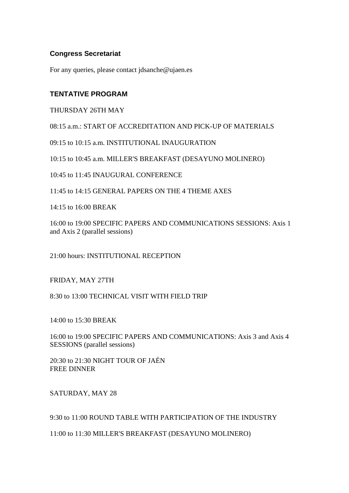## **Congress Secretariat**

For any queries, please contact jdsanche@ujaen.es

## **TENTATIVE PROGRAM**

THURSDAY 26TH MAY

08:15 a.m.: START OF ACCREDITATION AND PICK-UP OF MATERIALS

09:15 to 10:15 a.m. INSTITUTIONAL INAUGURATION

10:15 to 10:45 a.m. MILLER'S BREAKFAST (DESAYUNO MOLINERO)

10:45 to 11:45 INAUGURAL CONFERENCE

11:45 to 14:15 GENERAL PAPERS ON THE 4 THEME AXES

14:15 to 16:00 BREAK

16:00 to 19:00 SPECIFIC PAPERS AND COMMUNICATIONS SESSIONS: Axis 1 and Axis 2 (parallel sessions)

21:00 hours: INSTITUTIONAL RECEPTION

FRIDAY, MAY 27TH

8:30 to 13:00 TECHNICAL VISIT WITH FIELD TRIP

14:00 to 15:30 BREAK

16:00 to 19:00 SPECIFIC PAPERS AND COMMUNICATIONS: Axis 3 and Axis 4 SESSIONS (parallel sessions)

20:30 to 21:30 NIGHT TOUR OF JAÉN FREE DINNER

SATURDAY, MAY 28

9:30 to 11:00 ROUND TABLE WITH PARTICIPATION OF THE INDUSTRY

11:00 to 11:30 MILLER'S BREAKFAST (DESAYUNO MOLINERO)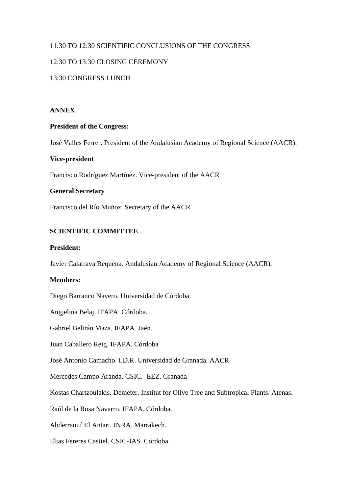## 11:30 TO 12:30 SCIENTIFIC CONCLUSIONS OF THE CONGRESS

## 12:30 TO 13:30 CLOSING CEREMONY

## 13:30 CONGRESS LUNCH

### **ANNEX**

### **President of the Congress:**

José Valles Ferrer. President of the Andalusian Academy of Regional Science (AACR).

### **Vice-president**

Francisco Rodríguez Martínez. Vice-president of the AACR

## **General Secretary**

Francisco del Río Muñoz. Secretary of the AACR

### **SCIENTIFIC COMMITTEE**

#### **President:**

Javier Calatrava Requena. Andalusian Academy of Regional Science (AACR).

## **Members:**

Diego Barranco Navero. Universidad de Córdoba.

Angjelina Belaj. IFAPA. Córdoba.

Gabriel Beltrán Maza. IFAPA. Jaén.

Juan Caballero Reig. IFAPA. Córdoba

José Antonio Camacho. I.D.R. Universidad de Granada. AACR

Mercedes Campo Aranda. CSIC.- EEZ. Granada

Kostas Chartzoulakis. Demeter. Institut for Olive Tree and Subtropical Plants. Atenas.

Raúl de la Rosa Navarro. IFAPA. Córdoba.

Abderraouf El Antari. INRA. Marrakech.

Elias Fereres Castiel. CSIC-IAS. Córdoba.